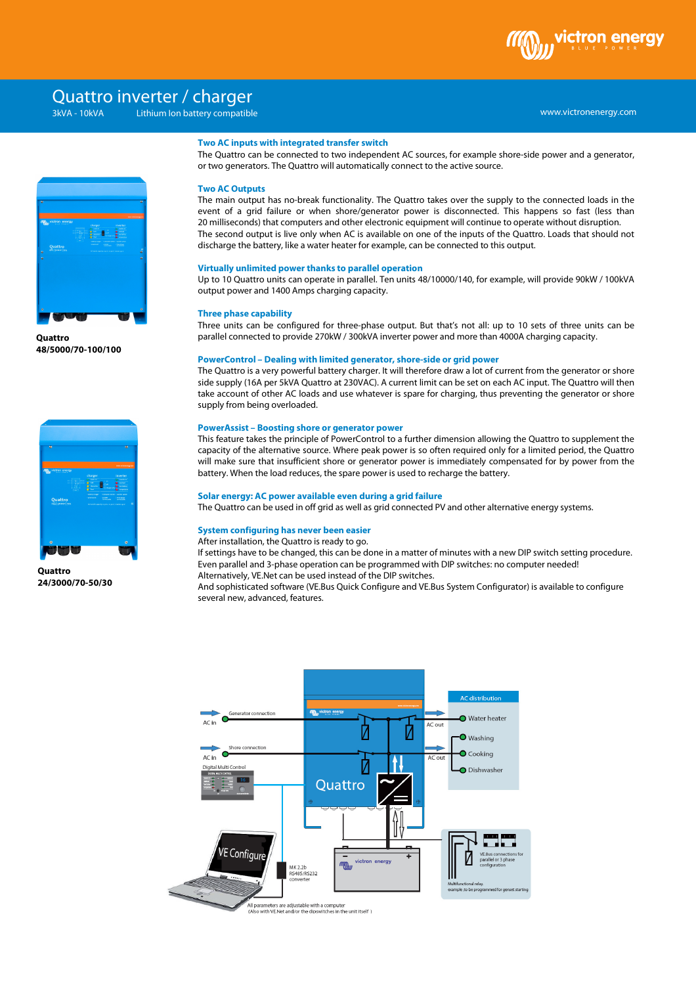

# Quattro inverter / charger

Lithium Ion battery compatible



**Quattro 48/5000/70-100/100**



**Quattro 24/3000/70-50/30**

# **Two AC inputs with integrated transfer switch**

The Quattro can be connected to two independent AC sources, for example shore-side power and a generator, or two generators. The Quattro will automatically connect to the active source.

### **Two AC Outputs**

The main output has no-break functionality. The Quattro takes over the supply to the connected loads in the event of a grid failure or when shore/generator power is disconnected. This happens so fast (less than 20 milliseconds) that computers and other electronic equipment will continue to operate without disruption. The second output is live only when AC is available on one of the inputs of the Quattro. Loads that should not discharge the battery, like a water heater for example, can be connected to this output.

#### **Virtually unlimited power thanks to parallel operation**

Up to 10 Quattro units can operate in parallel. Ten units 48/10000/140, for example, will provide 90kW / 100kVA output power and 1400 Amps charging capacity.

# **Three phase capability**

Three units can be configured for three-phase output. But that's not all: up to 10 sets of three units can be parallel connected to provide 270kW / 300kVA inverter power and more than 4000A charging capacity.

#### **PowerControl – Dealing with limited generator, shore-side or grid power**

The Quattro is a very powerful battery charger. It will therefore draw a lot of current from the generator or shore side supply (16A per 5kVA Quattro at 230VAC). A current limit can be set on each AC input. The Quattro will then take account of other AC loads and use whatever is spare for charging, thus preventing the generator or shore supply from being overloaded.

# **PowerAssist – Boosting shore or generator power**

This feature takes the principle of PowerControl to a further dimension allowing the Quattro to supplement the capacity of the alternative source. Where peak power is so often required only for a limited period, the Quattro will make sure that insufficient shore or generator power is immediately compensated for by power from the battery. When the load reduces, the spare power is used to recharge the battery.

#### **Solar energy: AC power available even during a grid failure**

The Quattro can be used in off grid as well as grid connected PV and other alternative energy systems.

#### **System configuring has never been easier**

After installation, the Quattro is ready to go.

If settings have to be changed, this can be done in a matter of minutes with a new DIP switch setting procedure. Even parallel and 3-phase operation can be programmed with DIP switches: no computer needed! Alternatively, VE.Net can be used instead of the DIP switches.

And sophisticated software (VE.Bus Quick Configure and VE.Bus System Configurator) is available to configure several new, advanced, features.